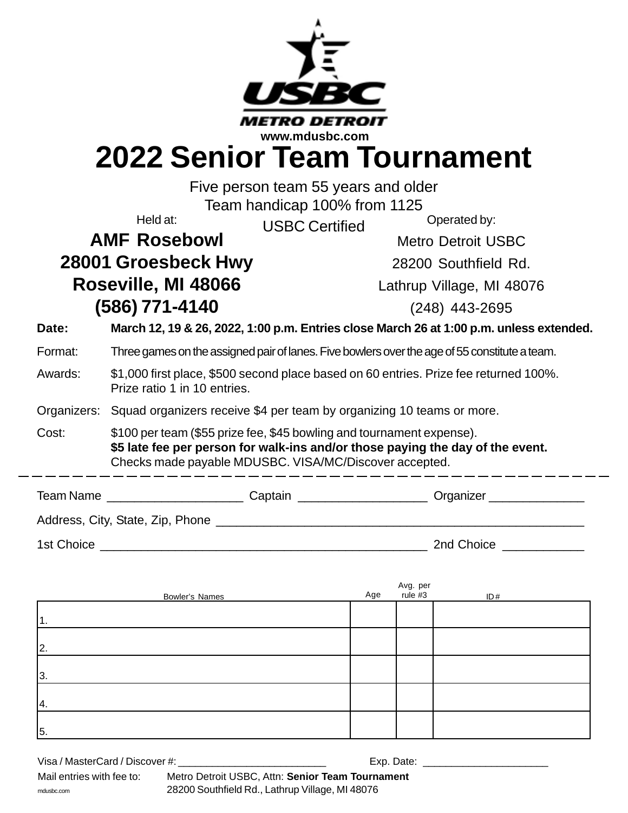|                                                  |                                                                                                                                                                                                                   | www.mdusbc.com                                                                                       |  |  |  |  |  |
|--------------------------------------------------|-------------------------------------------------------------------------------------------------------------------------------------------------------------------------------------------------------------------|------------------------------------------------------------------------------------------------------|--|--|--|--|--|
| <b>2022 Senior Team Tournament</b>               |                                                                                                                                                                                                                   |                                                                                                      |  |  |  |  |  |
| Five person team 55 years and older              |                                                                                                                                                                                                                   |                                                                                                      |  |  |  |  |  |
| Team handicap 100% from 1125                     |                                                                                                                                                                                                                   |                                                                                                      |  |  |  |  |  |
|                                                  | Held at:                                                                                                                                                                                                          | Operated by:<br><b>USBC Certified</b>                                                                |  |  |  |  |  |
| <b>AMF Rosebowl</b><br><b>Metro Detroit USBC</b> |                                                                                                                                                                                                                   |                                                                                                      |  |  |  |  |  |
|                                                  | 28001 Groesbeck Hwy                                                                                                                                                                                               | 28200 Southfield Rd.                                                                                 |  |  |  |  |  |
|                                                  | Roseville, MI 48066                                                                                                                                                                                               | Lathrup Village, MI 48076                                                                            |  |  |  |  |  |
|                                                  | (586) 771-4140                                                                                                                                                                                                    | $(248)$ 443-2695                                                                                     |  |  |  |  |  |
| Date:                                            |                                                                                                                                                                                                                   | March 12, 19 & 26, 2022, 1:00 p.m. Entries close March 26 at 1:00 p.m. unless extended.              |  |  |  |  |  |
| Format:                                          | Three games on the assigned pair of lanes. Five bowlers over the age of 55 constitute a team.                                                                                                                     |                                                                                                      |  |  |  |  |  |
| Awards:                                          | \$1,000 first place, \$500 second place based on 60 entries. Prize fee returned 100%.<br>Prize ratio 1 in 10 entries.                                                                                             |                                                                                                      |  |  |  |  |  |
|                                                  | Organizers: Squad organizers receive \$4 per team by organizing 10 teams or more.                                                                                                                                 |                                                                                                      |  |  |  |  |  |
| Cost:                                            | \$100 per team (\$55 prize fee, \$45 bowling and tournament expense).<br>\$5 late fee per person for walk-ins and/or those paying the day of the event.<br>Checks made payable MDUSBC. VISA/MC/Discover accepted. |                                                                                                      |  |  |  |  |  |
|                                                  |                                                                                                                                                                                                                   | Team Name ____________________________Captain ________________________Organizer ____________________ |  |  |  |  |  |
|                                                  |                                                                                                                                                                                                                   |                                                                                                      |  |  |  |  |  |
| 1st Choice                                       |                                                                                                                                                                                                                   | 2nd Choice                                                                                           |  |  |  |  |  |

| Bowler's Names | Age | Avg. per<br>rule #3 | ID# |
|----------------|-----|---------------------|-----|
| 11.            |     |                     |     |
| 2.             |     |                     |     |
| 3.             |     |                     |     |
| 14.            |     |                     |     |
| 5.             |     |                     |     |

| Visa / MasterCard / Discover #: | Exp. Date:                                       |
|---------------------------------|--------------------------------------------------|
| Mail entries with fee to:       | Metro Detroit USBC, Attn: Senior Team Tournament |
| mdusbc.com                      | 28200 Southfield Rd., Lathrup Village, MI 48076  |